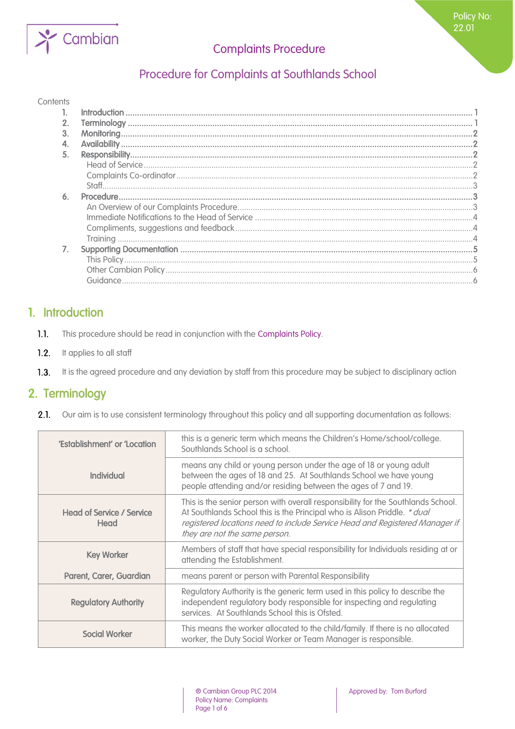

Policy No: 22.01

# Procedure for Complaints at Southlands School

#### **Contents**

| 2. |  |
|----|--|
| 3. |  |
|    |  |
| 5. |  |
|    |  |
|    |  |
|    |  |
| 6. |  |
|    |  |
|    |  |
|    |  |
|    |  |
| 7. |  |
|    |  |
|    |  |
|    |  |
|    |  |

## <span id="page-0-0"></span>1. Introduction

- $1.1.$ This procedure should be read in conjunction with the Complaints Policy.
- $1.2.$ It applies to all staff
- <span id="page-0-1"></span> $1.3.$ It is the agreed procedure and any deviation by staff from this procedure may be subject to disciplinary action

## 2. Terminology

 $2.1.$ Our aim is to use consistent terminology throughout this policy and all supporting documentation as follows:

| 'Establishment' or 'Location             | this is a generic term which means the Children's Home/school/college.<br>Southlands School is a school.                                                                                                                                                                     |
|------------------------------------------|------------------------------------------------------------------------------------------------------------------------------------------------------------------------------------------------------------------------------------------------------------------------------|
| Individual                               | means any child or young person under the age of 18 or young adult<br>between the ages of 18 and 25. At Southlands School we have young<br>people attending and/or residing between the ages of 7 and 19.                                                                    |
| <b>Head of Service / Service</b><br>Head | This is the senior person with overall responsibility for the Southlands School.<br>At Southlands School this is the Principal who is Alison Priddle. * dual<br>registered locations need to include Service Head and Registered Manager if<br>they are not the same person. |
| <b>Key Worker</b>                        | Members of staff that have special responsibility for Individuals residing at or<br>attending the Establishment.                                                                                                                                                             |
| Parent, Carer, Guardian                  | means parent or person with Parental Responsibility                                                                                                                                                                                                                          |
| <b>Regulatory Authority</b>              | Regulatory Authority is the generic term used in this policy to describe the<br>independent regulatory body responsible for inspecting and regulating<br>services. At Southlands School this is Ofsted.                                                                      |
| <b>Social Worker</b>                     | This means the worker allocated to the child/family. If there is no allocated<br>worker, the Duty Social Worker or Team Manager is responsible.                                                                                                                              |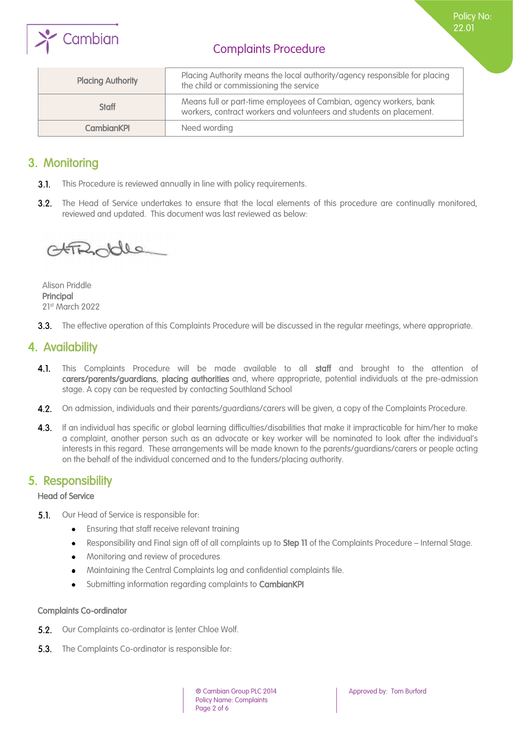

Policy No: 22.01

| <b>Placing Authority</b> | Placing Authority means the local authority/agency responsible for placing<br>the child or commissioning the service                      |
|--------------------------|-------------------------------------------------------------------------------------------------------------------------------------------|
| <b>Staff</b>             | Means full or part-time employees of Cambian, agency workers, bank<br>workers, contract workers and volunteers and students on placement. |
| <b>CambianKPI</b>        | Need wording                                                                                                                              |

## <span id="page-1-0"></span>3. Monitoring

- $3.1.$ This Procedure is reviewed annually in line with policy requirements.
- 3.2. The Head of Service undertakes to ensure that the local elements of this procedure are continually monitored, reviewed and updated. This document was last reviewed as below:

OFFROODLe

Alison Priddle Principal 21st March 2022

<span id="page-1-1"></span>3.3. The effective operation of this Complaints Procedure will be discussed in the regular meetings, where appropriate.

## 4. Availability

- $4.1.$ This Complaints Procedure will be made available to all staff and brought to the attention of carers/parents/guardians, placing authorities and, where appropriate, potential individuals at the pre-admission stage. A copy can be requested by contacting Southland School
- 4.2. On admission, individuals and their parents/guardians/carers will be given, a copy of the Complaints Procedure.
- 4.3. If an individual has specific or global learning difficulties/disabilities that make it impracticable for him/her to make a complaint, another person such as an advocate or key worker will be nominated to look after the individual's interests in this regard. These arrangements will be made known to the parents/guardians/carers or people acting on the behalf of the individual concerned and to the funders/placing authority.

## <span id="page-1-2"></span>5. Responsibility

## <span id="page-1-3"></span>Head of Service

- $5.1.$ Our Head of Service is responsible for:
	- Ensuring that staff receive relevant training  $\bullet$
	- Responsibility and Final sign off of all complaints up to Step 11 of the Complaints Procedure Internal Stage.  $\bullet$
	- Monitoring and review of procedures  $\bullet$
	- Maintaining the Central Complaints log and confidential complaints file.  $\bullet$
	- Submitting information regarding complaints to CambianKPI

### <span id="page-1-4"></span>Complaints Co-ordinator

- 5.2. Our Complaints co-ordinator is [enter Chloe Wolf.
- **5.3.** The Complaints Co-ordinator is responsible for: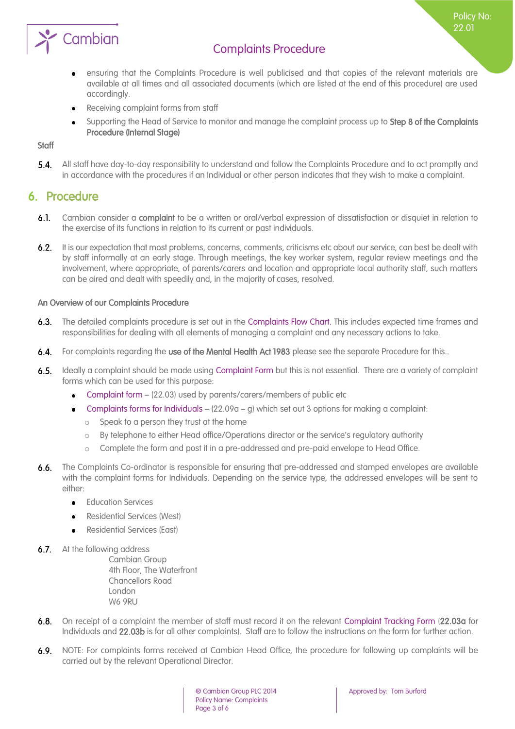

ensuring that the Complaints Procedure is well publicised and that copies of the relevant materials are  $\bullet$ available at all times and all associated documents (which are listed at the end of this procedure) are used accordingly.

Policy No: 22.01

- Receiving complaint forms from staff
- Supporting the Head of Service to monitor and manage the complaint process up to Step 8 of the Complaints  $\bullet$ Procedure (Internal Stage)

## <span id="page-2-0"></span>**Staff**

 $5.4.$ All staff have day-to-day responsibility to understand and follow the Complaints Procedure and to act promptly and in accordance with the procedures if an Individual or other person indicates that they wish to make a complaint.

## <span id="page-2-1"></span>6. Procedure

- $6.1.$ Cambian consider a complaint to be a written or oral/verbal expression of dissatisfaction or disquiet in relation to the exercise of its functions in relation to its current or past individuals.
- $6.2.$ It is our expectation that most problems, concerns, comments, criticisms etc about our service, can best be dealt with by staff informally at an early stage. Through meetings, the key worker system, regular review meetings and the involvement, where appropriate, of parents/carers and location and appropriate local authority staff, such matters can be aired and dealt with speedily and, in the majority of cases, resolved.

## <span id="page-2-2"></span>An Overview of our Complaints Procedure

- $6.3.$ The detailed complaints procedure is set out in the Complaints Flow Chart. This includes expected time frames and responsibilities for dealing with all elements of managing a complaint and any necessary actions to take.
- $6.4.$ For complaints regarding the use of the Mental Health Act 1983 please see the separate Procedure for this..
- $6.5.$ Ideally a complaint should be made using Complaint Form but this is not essential. There are a variety of complaint forms which can be used for this purpose:
	- Complaint form (22.03) used by parents/carers/members of public etc
	- Complaints forms for Individuals  $(22.09a g)$  which set out 3 options for making a complaint:
		- Speak to a person they trust at the home
		- o By telephone to either Head office/Operations director or the service's regulatory authority
		- o Complete the form and post it in a pre-addressed and pre-paid envelope to Head Office.
- $6.6.$ The Complaints Co-ordinator is responsible for ensuring that pre-addressed and stamped envelopes are available with the complaint forms for Individuals. Depending on the service type, the addressed envelopes will be sent to either:
	- Education Services
	- Residential Services (West)
	- Residential Services (East)
- **6.7.** At the following address

Cambian Group 4th Floor, The Waterfront Chancellors Road London W6 9RU

- $6.8.$ On receipt of a complaint the member of staff must record it on the relevant Complaint Tracking Form (22.03a for Individuals and 22.03b is for all other complaints). Staff are to follow the instructions on the form for further action.
- 6.9. NOTE: For complaints forms received at Cambian Head Office, the procedure for following up complaints will be carried out by the relevant Operational Director.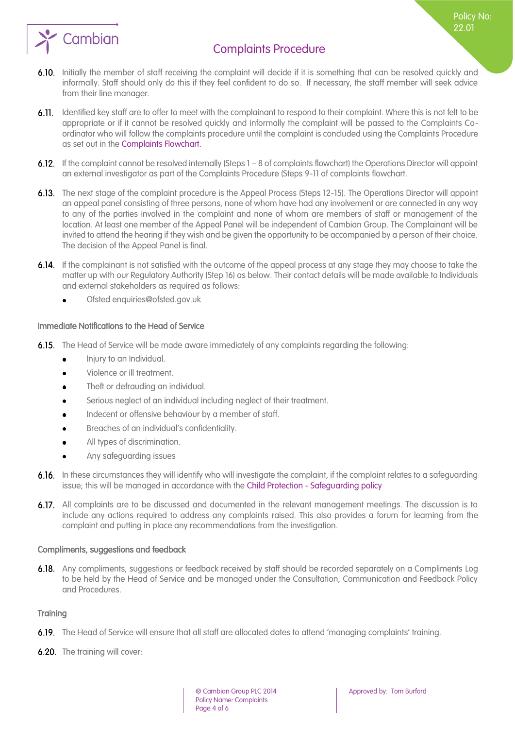Policy No: 22.01



- 6.10. Initially the member of staff receiving the complaint will decide if it is something that can be resolved quickly and informally. Staff should only do this if they feel confident to do so. If necessary, the staff member will seek advice from their line manager.
- 6.11. Identified key staff are to offer to meet with the complainant to respond to their complaint. Where this is not felt to be appropriate or if it cannot be resolved quickly and informally the complaint will be passed to the Complaints Coordinator who will follow the complaints procedure until the complaint is concluded using the Complaints Procedure as set out in the Complaints Flowchart.
- 6.12. If the complaint cannot be resolved internally (Steps 1 8 of complaints flowchart) the Operations Director will appoint an external investigator as part of the Complaints Procedure (Steps 9-11 of complaints flowchart.
- 6.13. The next stage of the complaint procedure is the Appeal Process (Steps 12-15). The Operations Director will appoint an appeal panel consisting of three persons, none of whom have had any involvement or are connected in any way to any of the parties involved in the complaint and none of whom are members of staff or management of the location. At least one member of the Appeal Panel will be independent of Cambian Group. The Complainant will be invited to attend the hearing if they wish and be given the opportunity to be accompanied by a person of their choice. The decision of the Appeal Panel is final.
- 6.14. If the complainant is not satisfied with the outcome of the appeal process at any stage they may choose to take the matter up with our Regulatory Authority (Step 16) as below. Their contact details will be made available to Individuals and external stakeholders as required as follows:
	- Ofsted enquiries@ofsted.gov.uk

## <span id="page-3-0"></span>Immediate Notifications to the Head of Service

- 6.15. The Head of Service will be made aware immediately of any complaints regarding the following:
	- $\bullet$ Injury to an Individual.
	- Violence or ill treatment.  $\bullet$
	- Theft or defrauding an individual.  $\bullet$
	- Serious neglect of an individual including neglect of their treatment.
	- Indecent or offensive behaviour by a member of staff.  $\bullet$
	- Breaches of an individual's confidentiality.
	- All types of discrimination.
	- Any safeguarding issues
- 6.16. In these circumstances they will identify who will investigate the complaint, if the complaint relates to a safeguarding issue; this will be managed in accordance with the Child Protection - Safeguarding policy
- 6.17. All complaints are to be discussed and documented in the relevant management meetings. The discussion is to include any actions required to address any complaints raised. This also provides a forum for learning from the complaint and putting in place any recommendations from the investigation.

### <span id="page-3-1"></span>Compliments, suggestions and feedback

6.18. Any compliments, suggestions or feedback received by staff should be recorded separately on a Compliments Log to be held by the Head of Service and be managed under the Consultation, Communication and Feedback Policy and Procedures.

### <span id="page-3-2"></span>**Training**

- 6.19. The Head of Service will ensure that all staff are allocated dates to attend 'managing complaints' training.
- **6.20.** The training will cover: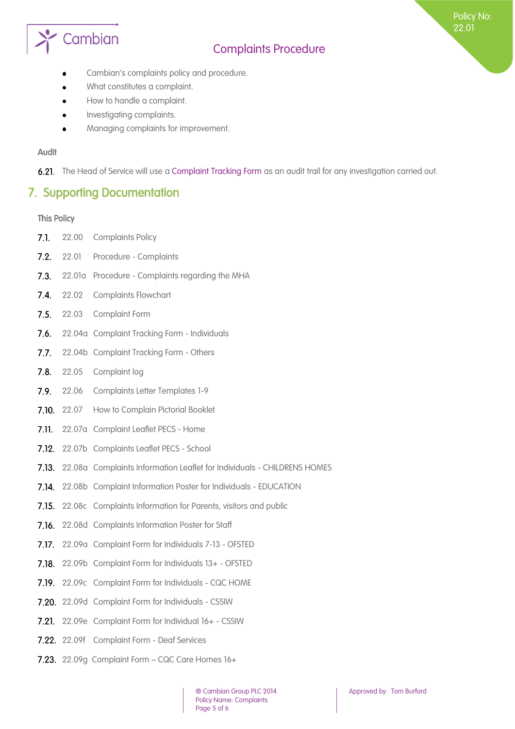# Cambian

# Complaints Procedure

Policy No: 22.01

- Cambian's complaints policy and procedure.
- What constitutes a complaint.
- How to handle a complaint.  $\bullet$
- Investigating complaints.
- Managing complaints for improvement.

### Audit

<span id="page-4-0"></span>6.21. The Head of Service will use a Complaint Tracking Form as an audit trail for any investigation carried out.

## 7. Supporting Documentation

#### <span id="page-4-1"></span>This Policy

- $7.1.$ 22.00 Complaints Policy
- $7.2.$ 22.01 Procedure - Complaints
- $7.3.$ 22.01a Procedure - Complaints regarding the MHA
- 7.4. 22.02 Complaints Flowchart
- 7.5. 22.03 Complaint Form
- 7.6. 22.04a Complaint Tracking Form Individuals
- $7.7.$ 22.04b Complaint Tracking Form - Others
- $7.8.$ 22.05 Complaint log
- 7.9. 22.06 Complaints Letter Templates 1-9
- 7.10. 22.07 How to Complain Pictorial Booklet
- 7.11. 22.07a Complaint Leaflet PECS Home
- 7.12. 22.07b Complaints Leaflet PECS School
- 22.08a Complaints Information Leaflet for Individuals CHILDRENS HOMES
- 7.14. 22.08b Complaint Information Poster for Individuals EDUCATION
- 7.15. 22.08c Complaints Information for Parents, visitors and public
- 7.16. 22.08d Complaints Information Poster for Staff
- 7.17. 22.09a Complaint Form for Individuals 7-13 OFSTED
- 7.18. 22.09b Complaint Form for Individuals 13+ OFSTED
- 7.19. 22.09c Complaint Form for Individuals CQC HOME
- **7.20.** 22.09d Complaint Form for Individuals CSSIW
- 7.21. 22.09e Complaint Form for Individual 16+ CSSIW
- 7.22. 22.09f Complaint Form Deaf Services
- 7.23. 22.09g Complaint Form CQC Care Homes 16+